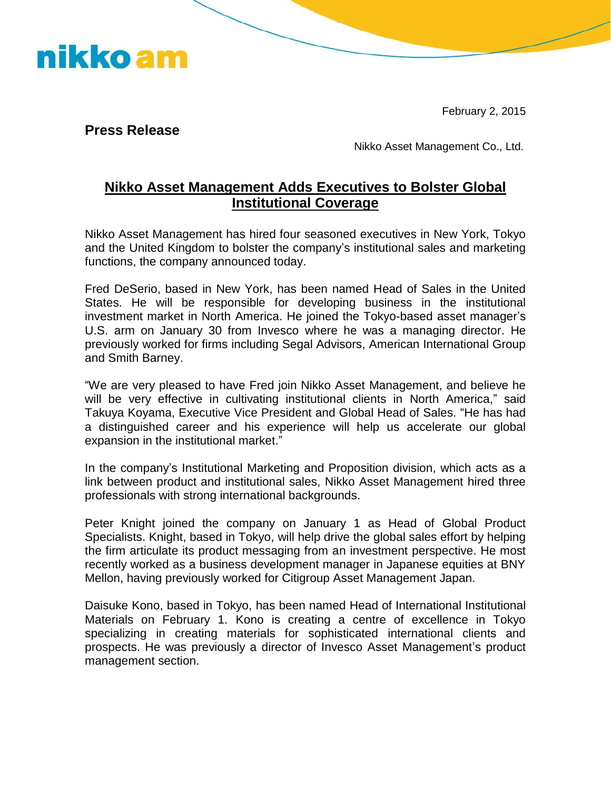February 2, 2015

**Press Release** 

nikko am

Nikko Asset Management Co., Ltd.

## **Nikko Asset Management Adds Executives to Bolster Global Institutional Coverage**

Nikko Asset Management has hired four seasoned executives in New York, Tokyo and the United Kingdom to bolster the company's institutional sales and marketing functions, the company announced today.

Fred DeSerio, based in New York, has been named Head of Sales in the United States. He will be responsible for developing business in the institutional investment market in North America. He joined the Tokyo-based asset manager's U.S. arm on January 30 from Invesco where he was a managing director. He previously worked for firms including Segal Advisors, American International Group and Smith Barney.

"We are very pleased to have Fred join Nikko Asset Management, and believe he will be very effective in cultivating institutional clients in North America," said Takuya Koyama, Executive Vice President and Global Head of Sales. "He has had a distinguished career and his experience will help us accelerate our global expansion in the institutional market."

In the company's Institutional Marketing and Proposition division, which acts as a link between product and institutional sales, Nikko Asset Management hired three professionals with strong international backgrounds.

Peter Knight joined the company on January 1 as Head of Global Product Specialists. Knight, based in Tokyo, will help drive the global sales effort by helping the firm articulate its product messaging from an investment perspective. He most recently worked as a business development manager in Japanese equities at BNY Mellon, having previously worked for Citigroup Asset Management Japan.

Daisuke Kono, based in Tokyo, has been named Head of International Institutional Materials on February 1. Kono is creating a centre of excellence in Tokyo specializing in creating materials for sophisticated international clients and prospects. He was previously a director of Invesco Asset Management's product management section.